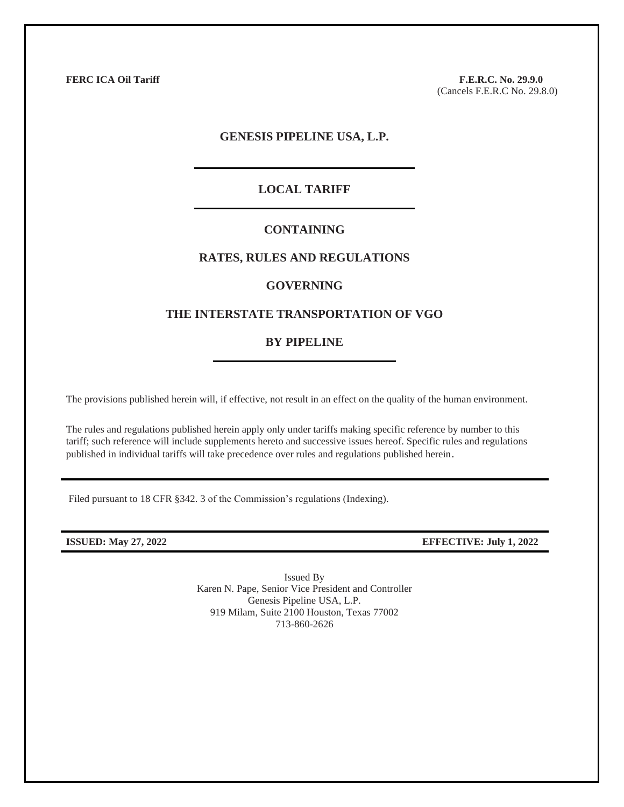**FERC ICA Oil Tariff F.E.R.C. No. 29.9.0**

(Cancels F.E.R.C No. 29.8.0)

## **GENESIS PIPELINE USA, L.P.**

### **LOCAL TARIFF**

## **CONTAINING**

## **RATES, RULES AND REGULATIONS**

#### **GOVERNING**

## **THE INTERSTATE TRANSPORTATION OF VGO**

#### **BY PIPELINE**

The provisions published herein will, if effective, not result in an effect on the quality of the human environment.

The rules and regulations published herein apply only under tariffs making specific reference by number to this tariff; such reference will include supplements hereto and successive issues hereof. Specific rules and regulations published in individual tariffs will take precedence over rules and regulations published herein.

Filed pursuant to 18 CFR §342. 3 of the Commission's regulations (Indexing).

**ISSUED: May 27, 2022 EFFECTIVE: July 1, 2022**

Issued By Karen N. Pape, Senior Vice President and Controller Genesis Pipeline USA, L.P. 919 Milam, Suite 2100 Houston, Texas 77002 713-860-2626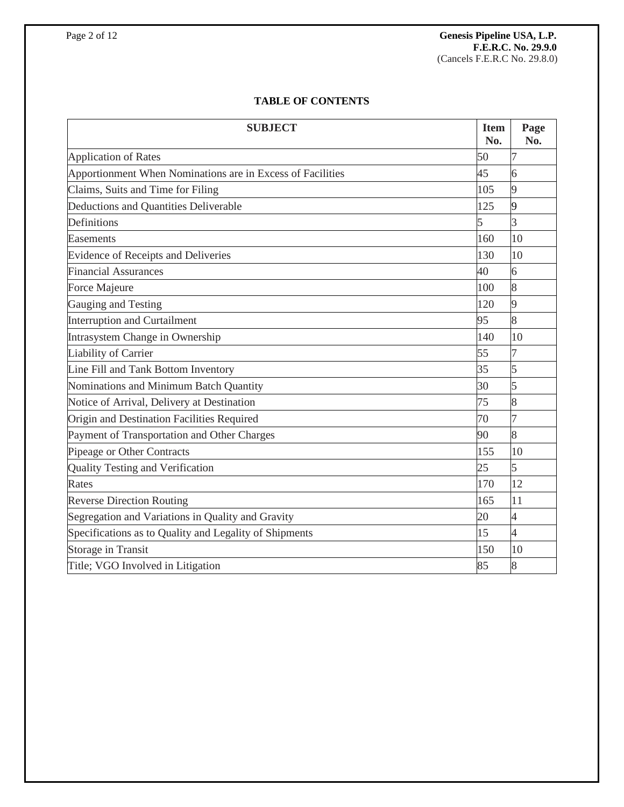# **TABLE OF CONTENTS**

| <b>SUBJECT</b>                                             | <b>Item</b><br>No.       | Page<br>No.    |
|------------------------------------------------------------|--------------------------|----------------|
| <b>Application of Rates</b>                                | 50                       | 7              |
| Apportionment When Nominations are in Excess of Facilities | 45                       | 6              |
| Claims, Suits and Time for Filing                          | 105                      | $\overline{9}$ |
| Deductions and Quantities Deliverable                      | 125                      | $\overline{9}$ |
| Definitions                                                | $\overline{\phantom{0}}$ | $\overline{3}$ |
| Easements                                                  | 160                      | 10             |
| Evidence of Receipts and Deliveries                        | 130                      | 10             |
| <b>Financial Assurances</b>                                | 40                       | 6              |
| Force Majeure                                              | 100                      | 8              |
| Gauging and Testing                                        | 120                      | 9              |
| <b>Interruption and Curtailment</b>                        | 95                       | 8              |
| Intrasystem Change in Ownership                            | 140                      | 10             |
| Liability of Carrier                                       | 55                       | 7              |
| Line Fill and Tank Bottom Inventory                        | 35                       | 5              |
| Nominations and Minimum Batch Quantity                     | 30                       | 5              |
| Notice of Arrival, Delivery at Destination                 | 75                       | 8              |
| Origin and Destination Facilities Required                 | 70                       | $\overline{7}$ |
| Payment of Transportation and Other Charges                | 90                       | 8              |
| Pipeage or Other Contracts                                 | 155                      | 10             |
| Quality Testing and Verification                           | 25                       | 5              |
| Rates                                                      | 170                      | 12             |
| <b>Reverse Direction Routing</b>                           | 165                      | 11             |
| Segregation and Variations in Quality and Gravity          | 20                       | $\overline{4}$ |
| Specifications as to Quality and Legality of Shipments     | 15                       | $\overline{4}$ |
| Storage in Transit                                         | 150                      | 10             |
| Title; VGO Involved in Litigation                          | 85                       | 8              |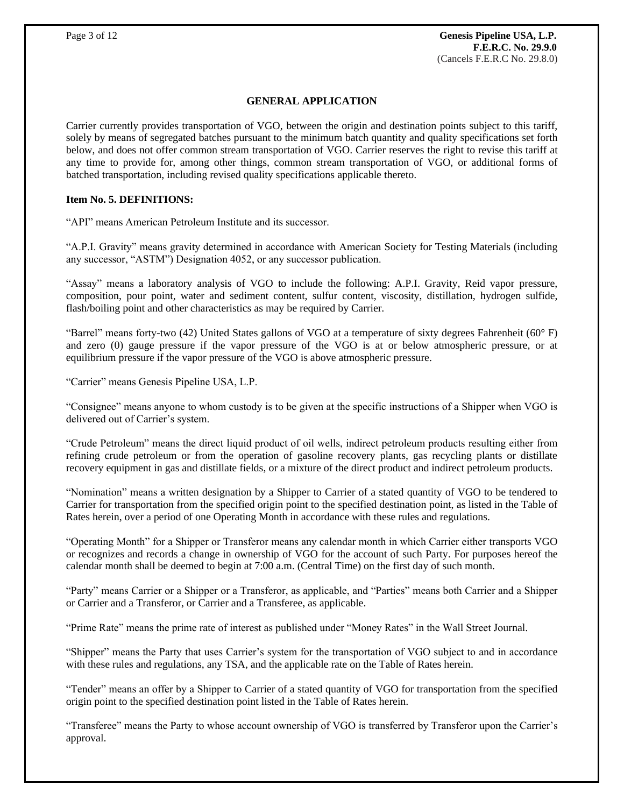## **GENERAL APPLICATION**

Carrier currently provides transportation of VGO, between the origin and destination points subject to this tariff, solely by means of segregated batches pursuant to the minimum batch quantity and quality specifications set forth below, and does not offer common stream transportation of VGO. Carrier reserves the right to revise this tariff at any time to provide for, among other things, common stream transportation of VGO, or additional forms of batched transportation, including revised quality specifications applicable thereto.

### **Item No. 5. DEFINITIONS:**

"API" means American Petroleum Institute and its successor.

"A.P.I. Gravity" means gravity determined in accordance with American Society for Testing Materials (including any successor, "ASTM") Designation 4052, or any successor publication.

"Assay" means a laboratory analysis of VGO to include the following: A.P.I. Gravity, Reid vapor pressure, composition, pour point, water and sediment content, sulfur content, viscosity, distillation, hydrogen sulfide, flash/boiling point and other characteristics as may be required by Carrier.

"Barrel" means forty-two (42) United States gallons of VGO at a temperature of sixty degrees Fahrenheit (60° F) and zero (0) gauge pressure if the vapor pressure of the VGO is at or below atmospheric pressure, or at equilibrium pressure if the vapor pressure of the VGO is above atmospheric pressure.

"Carrier" means Genesis Pipeline USA, L.P.

"Consignee" means anyone to whom custody is to be given at the specific instructions of a Shipper when VGO is delivered out of Carrier's system.

"Crude Petroleum" means the direct liquid product of oil wells, indirect petroleum products resulting either from refining crude petroleum or from the operation of gasoline recovery plants, gas recycling plants or distillate recovery equipment in gas and distillate fields, or a mixture of the direct product and indirect petroleum products.

"Nomination" means a written designation by a Shipper to Carrier of a stated quantity of VGO to be tendered to Carrier for transportation from the specified origin point to the specified destination point, as listed in the Table of Rates herein, over a period of one Operating Month in accordance with these rules and regulations.

"Operating Month" for a Shipper or Transferor means any calendar month in which Carrier either transports VGO or recognizes and records a change in ownership of VGO for the account of such Party. For purposes hereof the calendar month shall be deemed to begin at 7:00 a.m. (Central Time) on the first day of such month.

"Party" means Carrier or a Shipper or a Transferor, as applicable, and "Parties" means both Carrier and a Shipper or Carrier and a Transferor, or Carrier and a Transferee, as applicable.

"Prime Rate" means the prime rate of interest as published under "Money Rates" in the Wall Street Journal.

"Shipper" means the Party that uses Carrier's system for the transportation of VGO subject to and in accordance with these rules and regulations, any TSA, and the applicable rate on the Table of Rates herein.

"Tender" means an offer by a Shipper to Carrier of a stated quantity of VGO for transportation from the specified origin point to the specified destination point listed in the Table of Rates herein.

"Transferee" means the Party to whose account ownership of VGO is transferred by Transferor upon the Carrier's approval.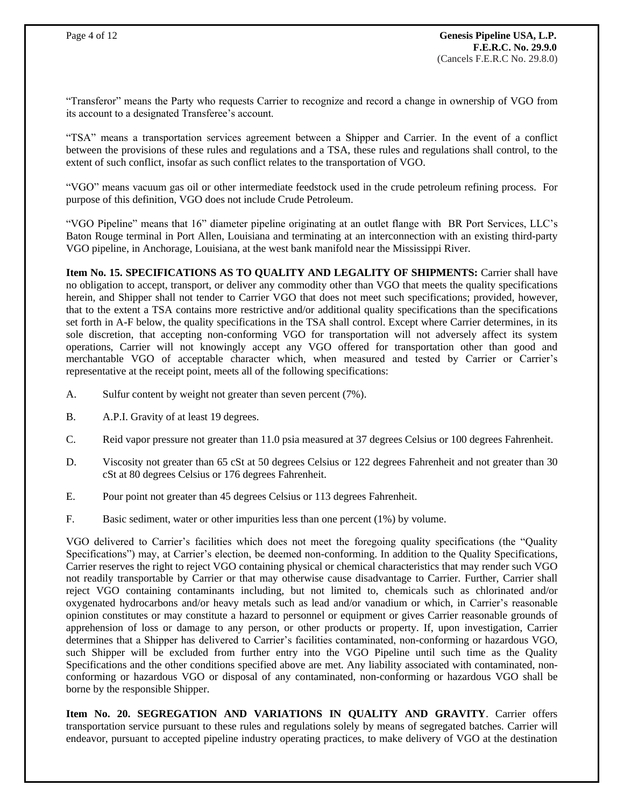"Transferor" means the Party who requests Carrier to recognize and record a change in ownership of VGO from its account to a designated Transferee's account.

"TSA" means a transportation services agreement between a Shipper and Carrier. In the event of a conflict between the provisions of these rules and regulations and a TSA, these rules and regulations shall control, to the extent of such conflict, insofar as such conflict relates to the transportation of VGO.

"VGO" means vacuum gas oil or other intermediate feedstock used in the crude petroleum refining process. For purpose of this definition, VGO does not include Crude Petroleum.

"VGO Pipeline" means that 16" diameter pipeline originating at an outlet flange with BR Port Services, LLC's Baton Rouge terminal in Port Allen, Louisiana and terminating at an interconnection with an existing third-party VGO pipeline, in Anchorage, Louisiana, at the west bank manifold near the Mississippi River.

**Item No. 15. SPECIFICATIONS AS TO QUALITY AND LEGALITY OF SHIPMENTS:** Carrier shall have no obligation to accept, transport, or deliver any commodity other than VGO that meets the quality specifications herein, and Shipper shall not tender to Carrier VGO that does not meet such specifications; provided, however, that to the extent a TSA contains more restrictive and/or additional quality specifications than the specifications set forth in A-F below, the quality specifications in the TSA shall control. Except where Carrier determines, in its sole discretion, that accepting non-conforming VGO for transportation will not adversely affect its system operations, Carrier will not knowingly accept any VGO offered for transportation other than good and merchantable VGO of acceptable character which, when measured and tested by Carrier or Carrier's representative at the receipt point, meets all of the following specifications:

- A. Sulfur content by weight not greater than seven percent (7%).
- B. A.P.I. Gravity of at least 19 degrees.
- C. Reid vapor pressure not greater than 11.0 psia measured at 37 degrees Celsius or 100 degrees Fahrenheit.
- D. Viscosity not greater than 65 cSt at 50 degrees Celsius or 122 degrees Fahrenheit and not greater than 30 cSt at 80 degrees Celsius or 176 degrees Fahrenheit.
- E. Pour point not greater than 45 degrees Celsius or 113 degrees Fahrenheit.
- F. Basic sediment, water or other impurities less than one percent (1%) by volume.

VGO delivered to Carrier's facilities which does not meet the foregoing quality specifications (the "Quality Specifications") may, at Carrier's election, be deemed non-conforming. In addition to the Quality Specifications, Carrier reserves the right to reject VGO containing physical or chemical characteristics that may render such VGO not readily transportable by Carrier or that may otherwise cause disadvantage to Carrier. Further, Carrier shall reject VGO containing contaminants including, but not limited to, chemicals such as chlorinated and/or oxygenated hydrocarbons and/or heavy metals such as lead and/or vanadium or which, in Carrier's reasonable opinion constitutes or may constitute a hazard to personnel or equipment or gives Carrier reasonable grounds of apprehension of loss or damage to any person, or other products or property. If, upon investigation, Carrier determines that a Shipper has delivered to Carrier's facilities contaminated, non-conforming or hazardous VGO, such Shipper will be excluded from further entry into the VGO Pipeline until such time as the Quality Specifications and the other conditions specified above are met. Any liability associated with contaminated, nonconforming or hazardous VGO or disposal of any contaminated, non-conforming or hazardous VGO shall be borne by the responsible Shipper.

**Item No. 20. SEGREGATION AND VARIATIONS IN QUALITY AND GRAVITY**. Carrier offers transportation service pursuant to these rules and regulations solely by means of segregated batches. Carrier will endeavor, pursuant to accepted pipeline industry operating practices, to make delivery of VGO at the destination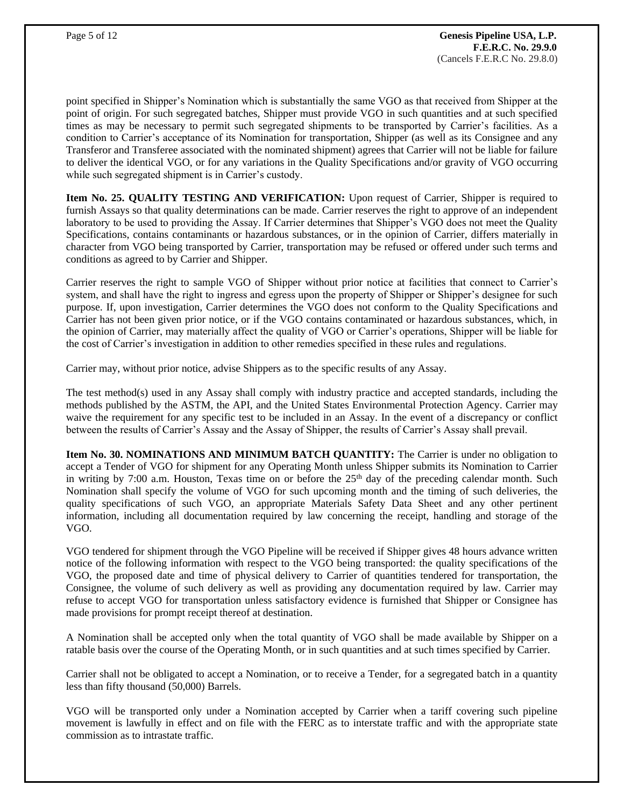point specified in Shipper's Nomination which is substantially the same VGO as that received from Shipper at the point of origin. For such segregated batches, Shipper must provide VGO in such quantities and at such specified times as may be necessary to permit such segregated shipments to be transported by Carrier's facilities. As a condition to Carrier's acceptance of its Nomination for transportation, Shipper (as well as its Consignee and any Transferor and Transferee associated with the nominated shipment) agrees that Carrier will not be liable for failure to deliver the identical VGO, or for any variations in the Quality Specifications and/or gravity of VGO occurring while such segregated shipment is in Carrier's custody.

**Item No. 25. QUALITY TESTING AND VERIFICATION:** Upon request of Carrier, Shipper is required to furnish Assays so that quality determinations can be made. Carrier reserves the right to approve of an independent laboratory to be used to providing the Assay. If Carrier determines that Shipper's VGO does not meet the Quality Specifications, contains contaminants or hazardous substances, or in the opinion of Carrier, differs materially in character from VGO being transported by Carrier, transportation may be refused or offered under such terms and conditions as agreed to by Carrier and Shipper.

Carrier reserves the right to sample VGO of Shipper without prior notice at facilities that connect to Carrier's system, and shall have the right to ingress and egress upon the property of Shipper or Shipper's designee for such purpose. If, upon investigation, Carrier determines the VGO does not conform to the Quality Specifications and Carrier has not been given prior notice, or if the VGO contains contaminated or hazardous substances, which, in the opinion of Carrier, may materially affect the quality of VGO or Carrier's operations, Shipper will be liable for the cost of Carrier's investigation in addition to other remedies specified in these rules and regulations.

Carrier may, without prior notice, advise Shippers as to the specific results of any Assay.

The test method(s) used in any Assay shall comply with industry practice and accepted standards, including the methods published by the ASTM, the API, and the United States Environmental Protection Agency. Carrier may waive the requirement for any specific test to be included in an Assay. In the event of a discrepancy or conflict between the results of Carrier's Assay and the Assay of Shipper, the results of Carrier's Assay shall prevail.

**Item No. 30. NOMINATIONS AND MINIMUM BATCH QUANTITY:** The Carrier is under no obligation to accept a Tender of VGO for shipment for any Operating Month unless Shipper submits its Nomination to Carrier in writing by 7:00 a.m. Houston, Texas time on or before the  $25<sup>th</sup>$  day of the preceding calendar month. Such Nomination shall specify the volume of VGO for such upcoming month and the timing of such deliveries, the quality specifications of such VGO, an appropriate Materials Safety Data Sheet and any other pertinent information, including all documentation required by law concerning the receipt, handling and storage of the VGO.

VGO tendered for shipment through the VGO Pipeline will be received if Shipper gives 48 hours advance written notice of the following information with respect to the VGO being transported: the quality specifications of the VGO, the proposed date and time of physical delivery to Carrier of quantities tendered for transportation, the Consignee, the volume of such delivery as well as providing any documentation required by law. Carrier may refuse to accept VGO for transportation unless satisfactory evidence is furnished that Shipper or Consignee has made provisions for prompt receipt thereof at destination.

A Nomination shall be accepted only when the total quantity of VGO shall be made available by Shipper on a ratable basis over the course of the Operating Month, or in such quantities and at such times specified by Carrier.

Carrier shall not be obligated to accept a Nomination, or to receive a Tender, for a segregated batch in a quantity less than fifty thousand (50,000) Barrels.

VGO will be transported only under a Nomination accepted by Carrier when a tariff covering such pipeline movement is lawfully in effect and on file with the FERC as to interstate traffic and with the appropriate state commission as to intrastate traffic.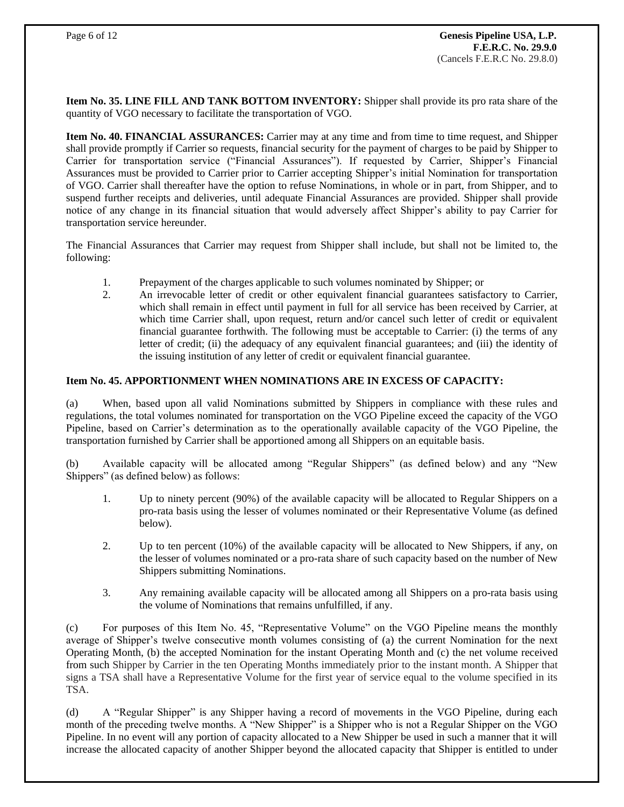**Item No. 35. LINE FILL AND TANK BOTTOM INVENTORY:** Shipper shall provide its pro rata share of the quantity of VGO necessary to facilitate the transportation of VGO.

**Item No. 40. FINANCIAL ASSURANCES:** Carrier may at any time and from time to time request, and Shipper shall provide promptly if Carrier so requests, financial security for the payment of charges to be paid by Shipper to Carrier for transportation service ("Financial Assurances"). If requested by Carrier, Shipper's Financial Assurances must be provided to Carrier prior to Carrier accepting Shipper's initial Nomination for transportation of VGO. Carrier shall thereafter have the option to refuse Nominations, in whole or in part, from Shipper, and to suspend further receipts and deliveries, until adequate Financial Assurances are provided. Shipper shall provide notice of any change in its financial situation that would adversely affect Shipper's ability to pay Carrier for transportation service hereunder.

The Financial Assurances that Carrier may request from Shipper shall include, but shall not be limited to, the following:

- 1. Prepayment of the charges applicable to such volumes nominated by Shipper; or
- 2. An irrevocable letter of credit or other equivalent financial guarantees satisfactory to Carrier, which shall remain in effect until payment in full for all service has been received by Carrier, at which time Carrier shall, upon request, return and/or cancel such letter of credit or equivalent financial guarantee forthwith. The following must be acceptable to Carrier: (i) the terms of any letter of credit; (ii) the adequacy of any equivalent financial guarantees; and (iii) the identity of the issuing institution of any letter of credit or equivalent financial guarantee.

## **Item No. 45. APPORTIONMENT WHEN NOMINATIONS ARE IN EXCESS OF CAPACITY:**

(a) When, based upon all valid Nominations submitted by Shippers in compliance with these rules and regulations, the total volumes nominated for transportation on the VGO Pipeline exceed the capacity of the VGO Pipeline, based on Carrier's determination as to the operationally available capacity of the VGO Pipeline, the transportation furnished by Carrier shall be apportioned among all Shippers on an equitable basis.

(b) Available capacity will be allocated among "Regular Shippers" (as defined below) and any "New Shippers" (as defined below) as follows:

- 1. Up to ninety percent (90%) of the available capacity will be allocated to Regular Shippers on a pro-rata basis using the lesser of volumes nominated or their Representative Volume (as defined below).
- 2. Up to ten percent (10%) of the available capacity will be allocated to New Shippers, if any, on the lesser of volumes nominated or a pro-rata share of such capacity based on the number of New Shippers submitting Nominations.
- 3. Any remaining available capacity will be allocated among all Shippers on a pro-rata basis using the volume of Nominations that remains unfulfilled, if any.

(c) For purposes of this Item No. 45, "Representative Volume" on the VGO Pipeline means the monthly average of Shipper's twelve consecutive month volumes consisting of (a) the current Nomination for the next Operating Month, (b) the accepted Nomination for the instant Operating Month and (c) the net volume received from such Shipper by Carrier in the ten Operating Months immediately prior to the instant month. A Shipper that signs a TSA shall have a Representative Volume for the first year of service equal to the volume specified in its TSA.

(d) A "Regular Shipper" is any Shipper having a record of movements in the VGO Pipeline, during each month of the preceding twelve months. A "New Shipper" is a Shipper who is not a Regular Shipper on the VGO Pipeline. In no event will any portion of capacity allocated to a New Shipper be used in such a manner that it will increase the allocated capacity of another Shipper beyond the allocated capacity that Shipper is entitled to under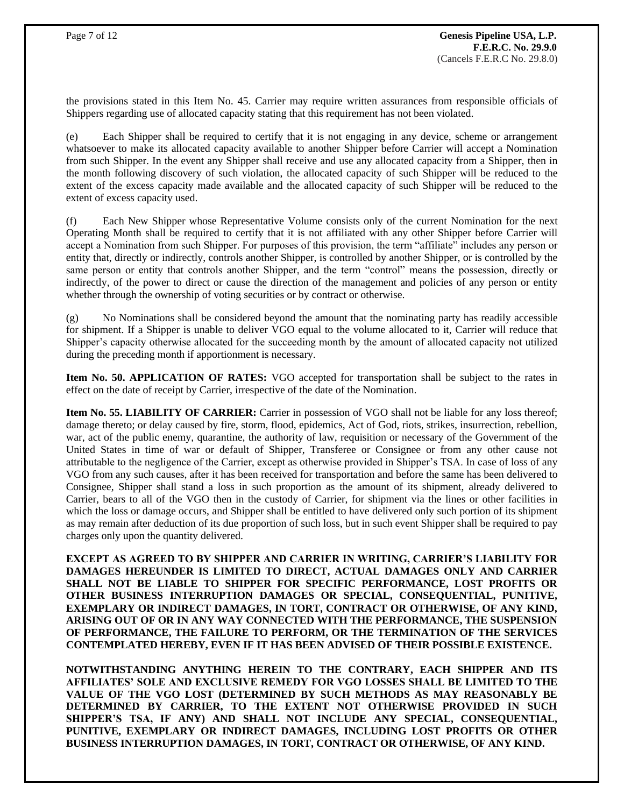the provisions stated in this Item No. 45. Carrier may require written assurances from responsible officials of Shippers regarding use of allocated capacity stating that this requirement has not been violated.

(e) Each Shipper shall be required to certify that it is not engaging in any device, scheme or arrangement whatsoever to make its allocated capacity available to another Shipper before Carrier will accept a Nomination from such Shipper. In the event any Shipper shall receive and use any allocated capacity from a Shipper, then in the month following discovery of such violation, the allocated capacity of such Shipper will be reduced to the extent of the excess capacity made available and the allocated capacity of such Shipper will be reduced to the extent of excess capacity used.

(f) Each New Shipper whose Representative Volume consists only of the current Nomination for the next Operating Month shall be required to certify that it is not affiliated with any other Shipper before Carrier will accept a Nomination from such Shipper. For purposes of this provision, the term "affiliate" includes any person or entity that, directly or indirectly, controls another Shipper, is controlled by another Shipper, or is controlled by the same person or entity that controls another Shipper, and the term "control" means the possession, directly or indirectly, of the power to direct or cause the direction of the management and policies of any person or entity whether through the ownership of voting securities or by contract or otherwise.

(g) No Nominations shall be considered beyond the amount that the nominating party has readily accessible for shipment. If a Shipper is unable to deliver VGO equal to the volume allocated to it, Carrier will reduce that Shipper's capacity otherwise allocated for the succeeding month by the amount of allocated capacity not utilized during the preceding month if apportionment is necessary.

**Item No. 50. APPLICATION OF RATES:** VGO accepted for transportation shall be subject to the rates in effect on the date of receipt by Carrier, irrespective of the date of the Nomination.

**Item No. 55. LIABILITY OF CARRIER:** Carrier in possession of VGO shall not be liable for any loss thereof; damage thereto; or delay caused by fire, storm, flood, epidemics, Act of God, riots, strikes, insurrection, rebellion, war, act of the public enemy, quarantine, the authority of law, requisition or necessary of the Government of the United States in time of war or default of Shipper, Transferee or Consignee or from any other cause not attributable to the negligence of the Carrier, except as otherwise provided in Shipper's TSA. In case of loss of any VGO from any such causes, after it has been received for transportation and before the same has been delivered to Consignee, Shipper shall stand a loss in such proportion as the amount of its shipment, already delivered to Carrier, bears to all of the VGO then in the custody of Carrier, for shipment via the lines or other facilities in which the loss or damage occurs, and Shipper shall be entitled to have delivered only such portion of its shipment as may remain after deduction of its due proportion of such loss, but in such event Shipper shall be required to pay charges only upon the quantity delivered.

**EXCEPT AS AGREED TO BY SHIPPER AND CARRIER IN WRITING, CARRIER'S LIABILITY FOR DAMAGES HEREUNDER IS LIMITED TO DIRECT, ACTUAL DAMAGES ONLY AND CARRIER SHALL NOT BE LIABLE TO SHIPPER FOR SPECIFIC PERFORMANCE, LOST PROFITS OR OTHER BUSINESS INTERRUPTION DAMAGES OR SPECIAL, CONSEQUENTIAL, PUNITIVE, EXEMPLARY OR INDIRECT DAMAGES, IN TORT, CONTRACT OR OTHERWISE, OF ANY KIND, ARISING OUT OF OR IN ANY WAY CONNECTED WITH THE PERFORMANCE, THE SUSPENSION OF PERFORMANCE, THE FAILURE TO PERFORM, OR THE TERMINATION OF THE SERVICES CONTEMPLATED HEREBY, EVEN IF IT HAS BEEN ADVISED OF THEIR POSSIBLE EXISTENCE.**

**NOTWITHSTANDING ANYTHING HEREIN TO THE CONTRARY, EACH SHIPPER AND ITS AFFILIATES' SOLE AND EXCLUSIVE REMEDY FOR VGO LOSSES SHALL BE LIMITED TO THE VALUE OF THE VGO LOST (DETERMINED BY SUCH METHODS AS MAY REASONABLY BE DETERMINED BY CARRIER, TO THE EXTENT NOT OTHERWISE PROVIDED IN SUCH SHIPPER'S TSA, IF ANY) AND SHALL NOT INCLUDE ANY SPECIAL, CONSEQUENTIAL, PUNITIVE, EXEMPLARY OR INDIRECT DAMAGES, INCLUDING LOST PROFITS OR OTHER BUSINESS INTERRUPTION DAMAGES, IN TORT, CONTRACT OR OTHERWISE, OF ANY KIND.**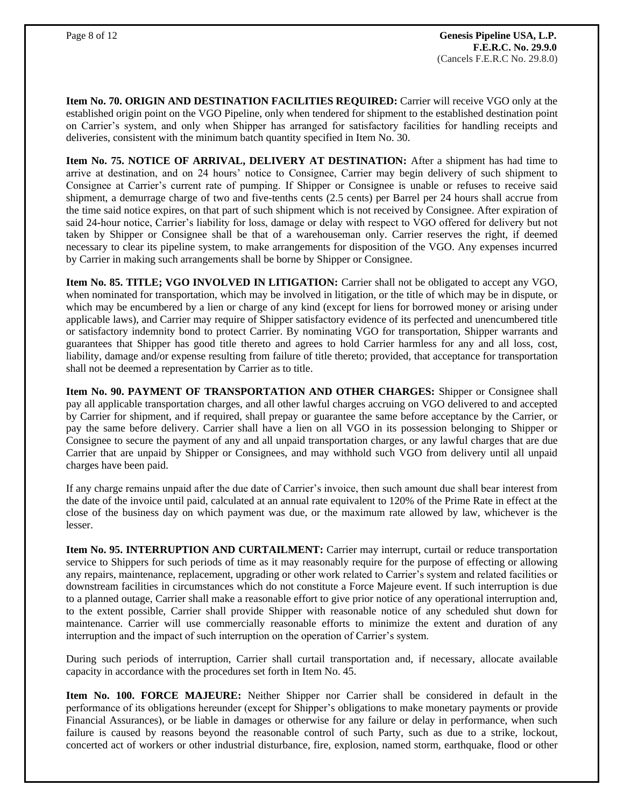**Item No. 70. ORIGIN AND DESTINATION FACILITIES REQUIRED:** Carrier will receive VGO only at the established origin point on the VGO Pipeline, only when tendered for shipment to the established destination point on Carrier's system, and only when Shipper has arranged for satisfactory facilities for handling receipts and deliveries, consistent with the minimum batch quantity specified in Item No. 30.

**Item No. 75. NOTICE OF ARRIVAL, DELIVERY AT DESTINATION:** After a shipment has had time to arrive at destination, and on 24 hours' notice to Consignee, Carrier may begin delivery of such shipment to Consignee at Carrier's current rate of pumping. If Shipper or Consignee is unable or refuses to receive said shipment, a demurrage charge of two and five-tenths cents (2.5 cents) per Barrel per 24 hours shall accrue from the time said notice expires, on that part of such shipment which is not received by Consignee. After expiration of said 24-hour notice, Carrier's liability for loss, damage or delay with respect to VGO offered for delivery but not taken by Shipper or Consignee shall be that of a warehouseman only. Carrier reserves the right, if deemed necessary to clear its pipeline system, to make arrangements for disposition of the VGO. Any expenses incurred by Carrier in making such arrangements shall be borne by Shipper or Consignee.

**Item No. 85. TITLE; VGO INVOLVED IN LITIGATION:** Carrier shall not be obligated to accept any VGO, when nominated for transportation, which may be involved in litigation, or the title of which may be in dispute, or which may be encumbered by a lien or charge of any kind (except for liens for borrowed money or arising under applicable laws), and Carrier may require of Shipper satisfactory evidence of its perfected and unencumbered title or satisfactory indemnity bond to protect Carrier. By nominating VGO for transportation, Shipper warrants and guarantees that Shipper has good title thereto and agrees to hold Carrier harmless for any and all loss, cost, liability, damage and/or expense resulting from failure of title thereto; provided, that acceptance for transportation shall not be deemed a representation by Carrier as to title.

**Item No. 90. PAYMENT OF TRANSPORTATION AND OTHER CHARGES:** Shipper or Consignee shall pay all applicable transportation charges, and all other lawful charges accruing on VGO delivered to and accepted by Carrier for shipment, and if required, shall prepay or guarantee the same before acceptance by the Carrier, or pay the same before delivery. Carrier shall have a lien on all VGO in its possession belonging to Shipper or Consignee to secure the payment of any and all unpaid transportation charges, or any lawful charges that are due Carrier that are unpaid by Shipper or Consignees, and may withhold such VGO from delivery until all unpaid charges have been paid.

If any charge remains unpaid after the due date of Carrier's invoice, then such amount due shall bear interest from the date of the invoice until paid, calculated at an annual rate equivalent to 120% of the Prime Rate in effect at the close of the business day on which payment was due, or the maximum rate allowed by law, whichever is the lesser.

**Item No. 95. INTERRUPTION AND CURTAILMENT:** Carrier may interrupt, curtail or reduce transportation service to Shippers for such periods of time as it may reasonably require for the purpose of effecting or allowing any repairs, maintenance, replacement, upgrading or other work related to Carrier's system and related facilities or downstream facilities in circumstances which do not constitute a Force Majeure event. If such interruption is due to a planned outage, Carrier shall make a reasonable effort to give prior notice of any operational interruption and, to the extent possible, Carrier shall provide Shipper with reasonable notice of any scheduled shut down for maintenance. Carrier will use commercially reasonable efforts to minimize the extent and duration of any interruption and the impact of such interruption on the operation of Carrier's system.

During such periods of interruption, Carrier shall curtail transportation and, if necessary, allocate available capacity in accordance with the procedures set forth in Item No. 45.

**Item No. 100. FORCE MAJEURE:** Neither Shipper nor Carrier shall be considered in default in the performance of its obligations hereunder (except for Shipper's obligations to make monetary payments or provide Financial Assurances), or be liable in damages or otherwise for any failure or delay in performance, when such failure is caused by reasons beyond the reasonable control of such Party, such as due to a strike, lockout, concerted act of workers or other industrial disturbance, fire, explosion, named storm, earthquake, flood or other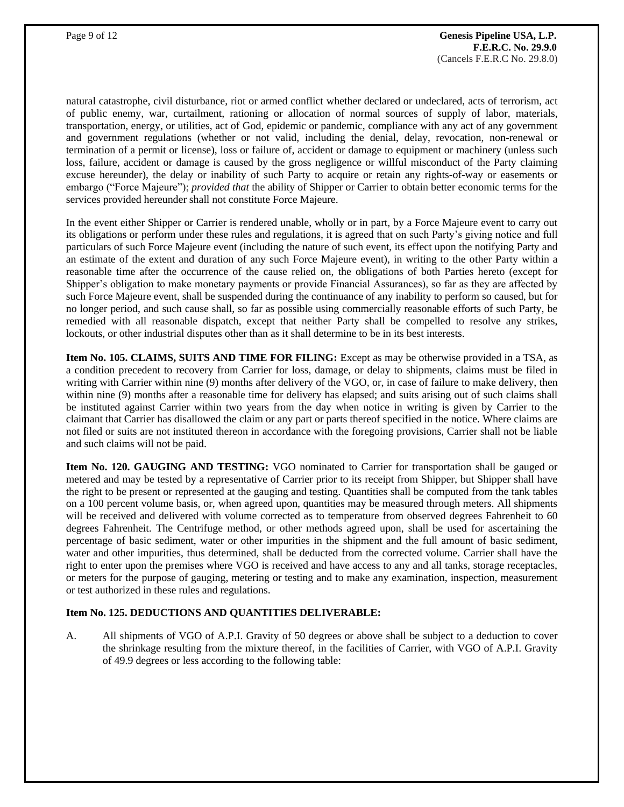natural catastrophe, civil disturbance, riot or armed conflict whether declared or undeclared, acts of terrorism, act of public enemy, war, curtailment, rationing or allocation of normal sources of supply of labor, materials, transportation, energy, or utilities, act of God, epidemic or pandemic, compliance with any act of any government and government regulations (whether or not valid, including the denial, delay, revocation, non-renewal or termination of a permit or license), loss or failure of, accident or damage to equipment or machinery (unless such loss, failure, accident or damage is caused by the gross negligence or willful misconduct of the Party claiming excuse hereunder), the delay or inability of such Party to acquire or retain any rights-of-way or easements or embargo ("Force Majeure"); *provided that* the ability of Shipper or Carrier to obtain better economic terms for the services provided hereunder shall not constitute Force Majeure.

In the event either Shipper or Carrier is rendered unable, wholly or in part, by a Force Majeure event to carry out its obligations or perform under these rules and regulations, it is agreed that on such Party's giving notice and full particulars of such Force Majeure event (including the nature of such event, its effect upon the notifying Party and an estimate of the extent and duration of any such Force Majeure event), in writing to the other Party within a reasonable time after the occurrence of the cause relied on, the obligations of both Parties hereto (except for Shipper's obligation to make monetary payments or provide Financial Assurances), so far as they are affected by such Force Majeure event, shall be suspended during the continuance of any inability to perform so caused, but for no longer period, and such cause shall, so far as possible using commercially reasonable efforts of such Party, be remedied with all reasonable dispatch, except that neither Party shall be compelled to resolve any strikes, lockouts, or other industrial disputes other than as it shall determine to be in its best interests.

**Item No. 105. CLAIMS, SUITS AND TIME FOR FILING:** Except as may be otherwise provided in a TSA, as a condition precedent to recovery from Carrier for loss, damage, or delay to shipments, claims must be filed in writing with Carrier within nine (9) months after delivery of the VGO, or, in case of failure to make delivery, then within nine (9) months after a reasonable time for delivery has elapsed; and suits arising out of such claims shall be instituted against Carrier within two years from the day when notice in writing is given by Carrier to the claimant that Carrier has disallowed the claim or any part or parts thereof specified in the notice. Where claims are not filed or suits are not instituted thereon in accordance with the foregoing provisions, Carrier shall not be liable and such claims will not be paid.

**Item No. 120. GAUGING AND TESTING:** VGO nominated to Carrier for transportation shall be gauged or metered and may be tested by a representative of Carrier prior to its receipt from Shipper, but Shipper shall have the right to be present or represented at the gauging and testing. Quantities shall be computed from the tank tables on a 100 percent volume basis, or, when agreed upon, quantities may be measured through meters. All shipments will be received and delivered with volume corrected as to temperature from observed degrees Fahrenheit to 60 degrees Fahrenheit. The Centrifuge method, or other methods agreed upon, shall be used for ascertaining the percentage of basic sediment, water or other impurities in the shipment and the full amount of basic sediment, water and other impurities, thus determined, shall be deducted from the corrected volume. Carrier shall have the right to enter upon the premises where VGO is received and have access to any and all tanks, storage receptacles, or meters for the purpose of gauging, metering or testing and to make any examination, inspection, measurement or test authorized in these rules and regulations.

## **Item No. 125. DEDUCTIONS AND QUANTITIES DELIVERABLE:**

A. All shipments of VGO of A.P.I. Gravity of 50 degrees or above shall be subject to a deduction to cover the shrinkage resulting from the mixture thereof, in the facilities of Carrier, with VGO of A.P.I. Gravity of 49.9 degrees or less according to the following table: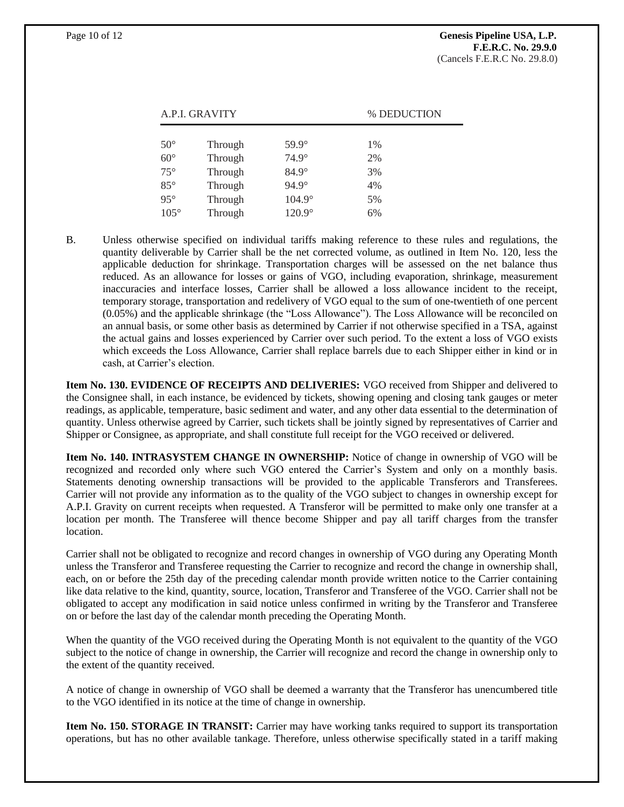| A.P.I. GRAVITY |         |               | % DEDUCTION |
|----------------|---------|---------------|-------------|
|                |         |               |             |
| $50^{\circ}$   | Through | 59.9°         | 1%          |
| $60^{\circ}$   | Through | $74.9^\circ$  | 2%          |
| $75^{\circ}$   | Through | $84.9^\circ$  | 3%          |
| $85^\circ$     | Through | $94.9^\circ$  | 4%          |
| $95^\circ$     | Through | $104.9^\circ$ | 5%          |
| $105^\circ$    | Through | 120.9°        | 6%          |

B. Unless otherwise specified on individual tariffs making reference to these rules and regulations, the quantity deliverable by Carrier shall be the net corrected volume, as outlined in Item No. 120, less the applicable deduction for shrinkage. Transportation charges will be assessed on the net balance thus reduced. As an allowance for losses or gains of VGO, including evaporation, shrinkage, measurement inaccuracies and interface losses, Carrier shall be allowed a loss allowance incident to the receipt, temporary storage, transportation and redelivery of VGO equal to the sum of one-twentieth of one percent (0.05%) and the applicable shrinkage (the "Loss Allowance"). The Loss Allowance will be reconciled on an annual basis, or some other basis as determined by Carrier if not otherwise specified in a TSA, against the actual gains and losses experienced by Carrier over such period. To the extent a loss of VGO exists which exceeds the Loss Allowance, Carrier shall replace barrels due to each Shipper either in kind or in cash, at Carrier's election.

**Item No. 130. EVIDENCE OF RECEIPTS AND DELIVERIES:** VGO received from Shipper and delivered to the Consignee shall, in each instance, be evidenced by tickets, showing opening and closing tank gauges or meter readings, as applicable, temperature, basic sediment and water, and any other data essential to the determination of quantity. Unless otherwise agreed by Carrier, such tickets shall be jointly signed by representatives of Carrier and Shipper or Consignee, as appropriate, and shall constitute full receipt for the VGO received or delivered.

**Item No. 140. INTRASYSTEM CHANGE IN OWNERSHIP:** Notice of change in ownership of VGO will be recognized and recorded only where such VGO entered the Carrier's System and only on a monthly basis. Statements denoting ownership transactions will be provided to the applicable Transferors and Transferees. Carrier will not provide any information as to the quality of the VGO subject to changes in ownership except for A.P.I. Gravity on current receipts when requested. A Transferor will be permitted to make only one transfer at a location per month. The Transferee will thence become Shipper and pay all tariff charges from the transfer location.

Carrier shall not be obligated to recognize and record changes in ownership of VGO during any Operating Month unless the Transferor and Transferee requesting the Carrier to recognize and record the change in ownership shall, each, on or before the 25th day of the preceding calendar month provide written notice to the Carrier containing like data relative to the kind, quantity, source, location, Transferor and Transferee of the VGO. Carrier shall not be obligated to accept any modification in said notice unless confirmed in writing by the Transferor and Transferee on or before the last day of the calendar month preceding the Operating Month.

When the quantity of the VGO received during the Operating Month is not equivalent to the quantity of the VGO subject to the notice of change in ownership, the Carrier will recognize and record the change in ownership only to the extent of the quantity received.

A notice of change in ownership of VGO shall be deemed a warranty that the Transferor has unencumbered title to the VGO identified in its notice at the time of change in ownership.

**Item No. 150. STORAGE IN TRANSIT:** Carrier may have working tanks required to support its transportation operations, but has no other available tankage. Therefore, unless otherwise specifically stated in a tariff making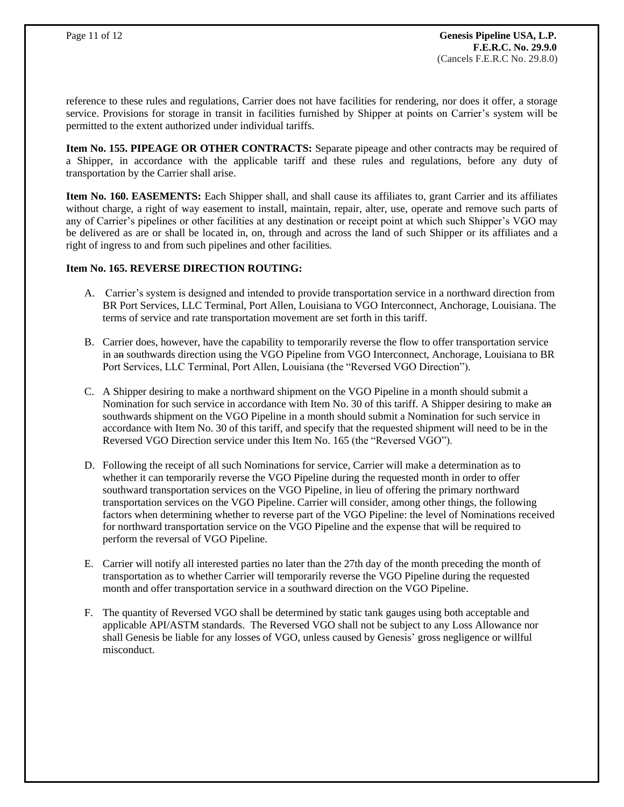reference to these rules and regulations, Carrier does not have facilities for rendering, nor does it offer, a storage service. Provisions for storage in transit in facilities furnished by Shipper at points on Carrier's system will be permitted to the extent authorized under individual tariffs.

**Item No. 155. PIPEAGE OR OTHER CONTRACTS:** Separate pipeage and other contracts may be required of a Shipper, in accordance with the applicable tariff and these rules and regulations, before any duty of transportation by the Carrier shall arise.

**Item No. 160. EASEMENTS:** Each Shipper shall, and shall cause its affiliates to, grant Carrier and its affiliates without charge, a right of way easement to install, maintain, repair, alter, use, operate and remove such parts of any of Carrier's pipelines or other facilities at any destination or receipt point at which such Shipper's VGO may be delivered as are or shall be located in, on, through and across the land of such Shipper or its affiliates and a right of ingress to and from such pipelines and other facilities.

#### **Item No. 165. REVERSE DIRECTION ROUTING:**

- A. Carrier's system is designed and intended to provide transportation service in a northward direction from BR Port Services, LLC Terminal, Port Allen, Louisiana to VGO Interconnect, Anchorage, Louisiana. The terms of service and rate transportation movement are set forth in this tariff.
- B. Carrier does, however, have the capability to temporarily reverse the flow to offer transportation service in an southwards direction using the VGO Pipeline from VGO Interconnect, Anchorage, Louisiana to BR Port Services, LLC Terminal, Port Allen, Louisiana (the "Reversed VGO Direction").
- C. A Shipper desiring to make a northward shipment on the VGO Pipeline in a month should submit a Nomination for such service in accordance with Item No. 30 of this tariff. A Shipper desiring to make an southwards shipment on the VGO Pipeline in a month should submit a Nomination for such service in accordance with Item No. 30 of this tariff, and specify that the requested shipment will need to be in the Reversed VGO Direction service under this Item No. 165 (the "Reversed VGO").
- D. Following the receipt of all such Nominations for service, Carrier will make a determination as to whether it can temporarily reverse the VGO Pipeline during the requested month in order to offer southward transportation services on the VGO Pipeline, in lieu of offering the primary northward transportation services on the VGO Pipeline. Carrier will consider, among other things, the following factors when determining whether to reverse part of the VGO Pipeline: the level of Nominations received for northward transportation service on the VGO Pipeline and the expense that will be required to perform the reversal of VGO Pipeline.
- E. Carrier will notify all interested parties no later than the 27th day of the month preceding the month of transportation as to whether Carrier will temporarily reverse the VGO Pipeline during the requested month and offer transportation service in a southward direction on the VGO Pipeline.
- F. The quantity of Reversed VGO shall be determined by static tank gauges using both acceptable and applicable API/ASTM standards. The Reversed VGO shall not be subject to any Loss Allowance nor shall Genesis be liable for any losses of VGO, unless caused by Genesis' gross negligence or willful misconduct.